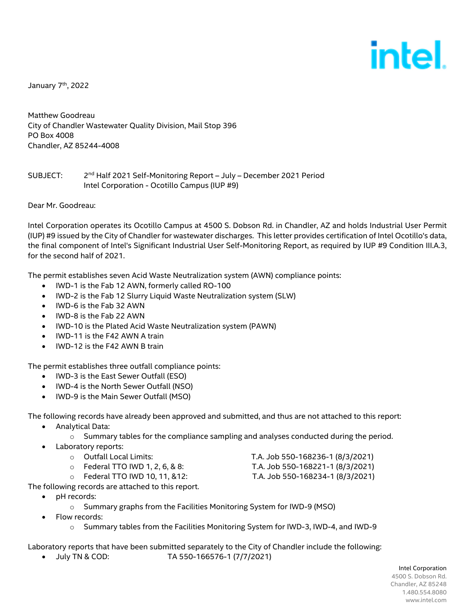# intel

January 7<sup>th</sup>, 2022

Matthew Goodreau City of Chandler Wastewater Quality Division, Mail Stop 396 PO Box 4008 Chandler, AZ 85244-4008

## SUBJECT: 2nd Half 2021 Self-Monitoring Report – July – December 2021 Period Intel Corporation - Ocotillo Campus (IUP #9)

Dear Mr. Goodreau:

Intel Corporation operates its Ocotillo Campus at 4500 S. Dobson Rd. in Chandler, AZ and holds Industrial User Permit (IUP) #9 issued by the City of Chandler for wastewater discharges. This letter provides certification of Intel Ocotillo's data, the final component of Intel's Significant Industrial User Self-Monitoring Report, as required by IUP #9 Condition III.A.3, for the second half of 2021.

The permit establishes seven Acid Waste Neutralization system (AWN) compliance points:

- IWD-1 is the Fab 12 AWN, formerly called RO-100
- IWD-2 is the Fab 12 Slurry Liquid Waste Neutralization system (SLW)
- IWD-6 is the Fab 32 AWN
- IWD-8 is the Fab 22 AWN
- IWD-10 is the Plated Acid Waste Neutralization system (PAWN)
- IWD-11 is the F42 AWN A train
- IWD-12 is the F42 AWN B train

The permit establishes three outfall compliance points:

- IWD-3 is the East Sewer Outfall (ESO)
- IWD-4 is the North Sewer Outfall (NSO)
- IWD-9 is the Main Sewer Outfall (MSO)

The following records have already been approved and submitted, and thus are not attached to this report:

- Analytical Data:
	- $\circ$  Summary tables for the compliance sampling and analyses conducted during the period.
- Laboratory reports:
	-
	- o Federal TTO IWD 1, 2, 6, & 8: T.A. Job 550-168221-1 (8/3/2021)
	- o Federal TTO IWD 10, 11, &12: T.A. Job 550-168234-1 (8/3/2021)

o Outfall Local Limits: T.A. Job 550-168236-1 (8/3/2021)

- 
- 

The following records are attached to this report.

- pH records:
	- o Summary graphs from the Facilities Monitoring System for IWD-9 (MSO)
- Flow records:
	- o Summary tables from the Facilities Monitoring System for IWD-3, IWD-4, and IWD-9

Laboratory reports that have been submitted separately to the City of Chandler include the following:

July TN & COD: TA 550-166576-1 (7/7/2021)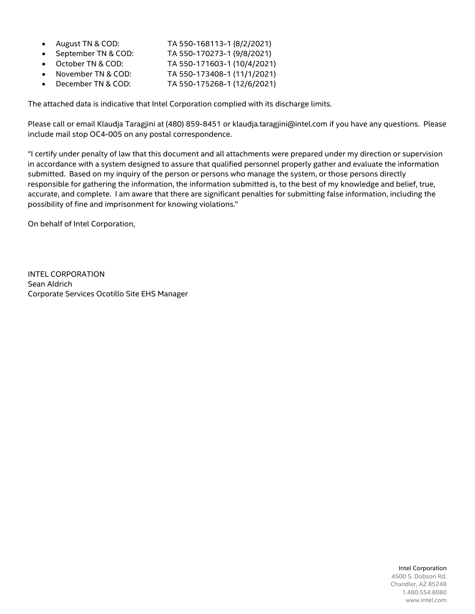- August TN & COD: TA 550-168113-1 (8/2/2021)
- September TN & COD: TA 550-170273-1 (9/8/2021)
- October TN & COD: TA 550-171603-1 (10/4/2021)
- November TN & COD: TA 550-173408-1 (11/1/2021) December TN & COD: TA 550-175268-1 (12/6/2021)
- The attached data is indicative that Intel Corporation complied with its discharge limits.

Please call or email Klaudja Taragjini at (480) 859-8451 or klaudja.taragjini@intel.com if you have any questions. Please include mail stop OC4-005 on any postal correspondence.

"I certify under penalty of law that this document and all attachments were prepared under my direction or supervision in accordance with a system designed to assure that qualified personnel properly gather and evaluate the information submitted. Based on my inquiry of the person or persons who manage the system, or those persons directly responsible for gathering the information, the information submitted is, to the best of my knowledge and belief, true, accurate, and complete. I am aware that there are significant penalties for submitting false information, including the possibility of fine and imprisonment for knowing violations."

On behalf of Intel Corporation,

INTEL CORPORATION Sean Aldrich Corporate Services Ocotillo Site EHS Manager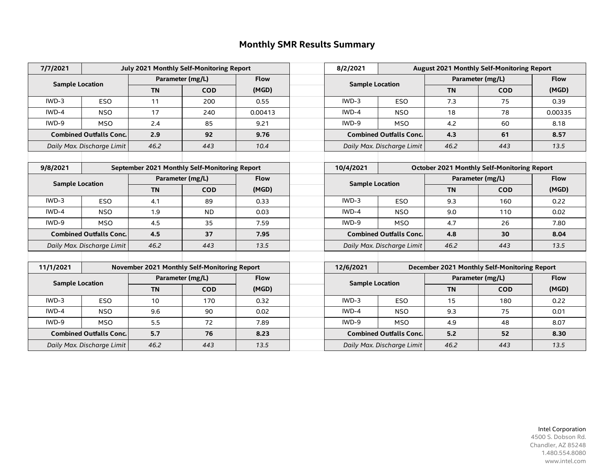## **Monthly SMR Results Summary**

| 7/7/2021                   | July 2021 Monthly Self-Monitoring Report      |                                 |                                              |             |             | 8/2/2021                       | August 2021 Monthly Self-Monitoring Report |                                                    |                  |             |
|----------------------------|-----------------------------------------------|---------------------------------|----------------------------------------------|-------------|-------------|--------------------------------|--------------------------------------------|----------------------------------------------------|------------------|-------------|
|                            |                                               |                                 | Parameter (mg/L)                             | <b>Flow</b> |             |                                |                                            | Parameter (mg/L)                                   |                  | <b>Flow</b> |
| <b>Sample Location</b>     |                                               | <b>TN</b>                       | <b>COD</b>                                   | (MGD)       |             | <b>Sample Location</b>         |                                            | <b>TN</b>                                          | <b>COD</b>       | (MGD)       |
| $IWD-3$                    | <b>ESO</b>                                    | 11                              | 200                                          | 0.55        |             | $IWD-3$                        | <b>ESO</b>                                 | 7.3                                                | 75               | 0.39        |
| IWD-4                      | <b>NSO</b>                                    | 17                              | 240                                          | 0.00413     |             | IWD-4                          | <b>NSO</b>                                 | 18                                                 | 78               | 0.00335     |
| IWD-9                      | <b>MSO</b>                                    | 2.4                             | 85                                           | 9.21        |             | IWD-9                          | <b>MSO</b>                                 | 4.2                                                | 60               | 8.18        |
|                            | <b>Combined Outfalls Conc.</b>                |                                 | 92                                           | 9.76        |             | <b>Combined Outfalls Conc.</b> |                                            | 4.3                                                | 61               | 8.57        |
|                            | Daily Max. Discharge Limit                    | 46.2                            | 443                                          | 10.4        |             | Daily Max. Discharge Limit     |                                            | 46.2                                               | 443              | 13.5        |
|                            |                                               |                                 |                                              |             |             |                                |                                            |                                                    |                  |             |
| 9/8/2021                   | September 2021 Monthly Self-Monitoring Report |                                 |                                              |             |             | 10/4/2021                      |                                            | <b>October 2021 Monthly Self-Monitoring Report</b> |                  |             |
|                            | <b>Sample Location</b>                        |                                 | Parameter (mg/L)                             |             | <b>Flow</b> |                                | <b>Sample Location</b>                     |                                                    | Parameter (mg/L) |             |
|                            |                                               | <b>TN</b>                       | <b>COD</b>                                   | (MGD)       |             |                                |                                            | <b>TN</b>                                          | <b>COD</b>       | (MGD)       |
| $IWD-3$                    | <b>ESO</b>                                    | 4.1                             | 89                                           | 0.33        |             | $IWD-3$                        | <b>ESO</b>                                 | 9.3                                                | 160              | 0.22        |
| IWD-4                      | <b>NSO</b>                                    | 1.9                             | <b>ND</b>                                    | 0.03        |             | IWD-4                          | <b>NSO</b>                                 | 9.0                                                | 110              | 0.02        |
| IWD-9                      | <b>MSO</b>                                    | 4.5                             | 35                                           | 7.59        |             | IWD-9                          | <b>MSO</b>                                 | 4.7                                                | 26               | 7.80        |
|                            | <b>Combined Outfalls Conc.</b>                | 4.5                             | 37                                           | 7.95        |             | <b>Combined Outfalls Conc.</b> |                                            | 4.8                                                | 30               | 8.04        |
|                            | Daily Max. Discharge Limit                    | 46.2                            | 443                                          | 13.5        |             | Daily Max. Discharge Limit     |                                            | 46.2                                               | 443              | 13.5        |
|                            |                                               |                                 |                                              |             |             |                                |                                            |                                                    |                  |             |
| 11/1/2021                  |                                               |                                 | November 2021 Monthly Self-Monitoring Report |             |             | 12/6/2021                      |                                            | December 2021 Monthly Self-Monitoring Report       |                  |             |
| <b>Sample Location</b>     |                                               | Parameter (mg/L)<br><b>Flow</b> |                                              |             |             | <b>Sample Location</b>         |                                            | Parameter (mg/L)                                   |                  | <b>Flow</b> |
|                            |                                               | <b>TN</b>                       | <b>COD</b>                                   | (MGD)       |             |                                |                                            | <b>TN</b>                                          | <b>COD</b>       | (MGD)       |
| $IWD-3$                    | <b>ESO</b>                                    | 10                              | 170                                          | 0.32        |             | $IWD-3$                        | <b>ESO</b>                                 | 15                                                 | 180              | 0.22        |
| IWD-4                      | <b>NSO</b>                                    | 9.6                             | 90                                           | 0.02        |             | IWD-4                          | <b>NSO</b>                                 | 9.3                                                | 75               | 0.01        |
| IWD-9                      | <b>MSO</b>                                    | 5.5                             | 72                                           | 7.89        |             | IWD-9                          | <b>MSO</b>                                 | 4.9                                                | 48               | 8.07        |
|                            | <b>Combined Outfalls Conc.</b>                | 5.7                             | 76                                           | 8.23        |             |                                | <b>Combined Outfalls Conc.</b>             | 5.2                                                | 52               | 8.30        |
| Daily Max. Discharge Limit |                                               | 46.2                            | 443                                          | 13.5        |             | Daily Max. Discharge Limit     |                                            | 46.2                                               | 443              | 13.5        |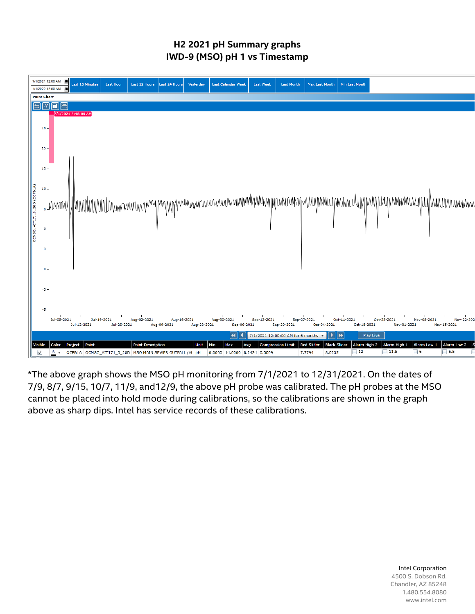## **H2 2021 pH Summary graphs IWD-9 (MSO) pH 1 vs Timestamp**



\*The above graph shows the MSO pH monitoring from 7/1/2021 to 12/31/2021. On the dates of 7/9, 8/7, 9/15, 10/7, 11/9, and12/9, the above pH probe was calibrated. The pH probes at the MSO cannot be placed into hold mode during calibrations, so the calibrations are shown in the graph above as sharp dips. Intel has service records of these calibrations.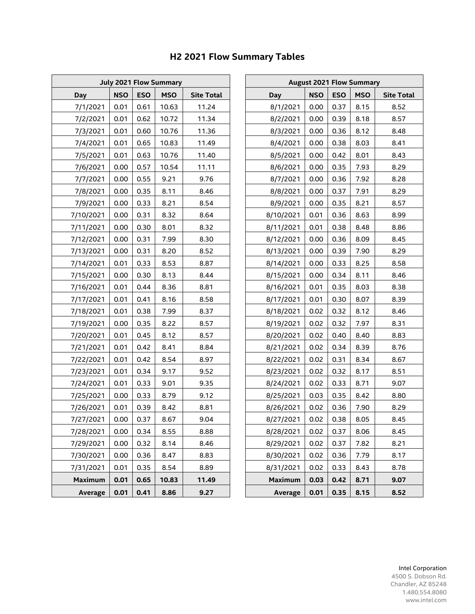| <b>July 2021 Flow Summary</b> |            |            |            |                   |  | <b>August 2021 Flow Summary</b> |            |            |            |                 |  |  |
|-------------------------------|------------|------------|------------|-------------------|--|---------------------------------|------------|------------|------------|-----------------|--|--|
| <b>Day</b>                    | <b>NSO</b> | <b>ESO</b> | <b>MSO</b> | <b>Site Total</b> |  | <b>Day</b>                      | <b>NSO</b> | <b>ESO</b> | <b>MSO</b> | <b>Site Tot</b> |  |  |
| 7/1/2021                      | 0.01       | 0.61       | 10.63      | 11.24             |  | 8/1/2021                        | 0.00       | 0.37       | 8.15       | 8.52            |  |  |
| 7/2/2021                      | 0.01       | 0.62       | 10.72      | 11.34             |  | 8/2/2021                        | 0.00       | 0.39       | 8.18       | 8.57            |  |  |
| 7/3/2021                      | 0.01       | 0.60       | 10.76      | 11.36             |  | 8/3/2021                        | 0.00       | 0.36       | 8.12       | 8.48            |  |  |
| 7/4/2021                      | 0.01       | 0.65       | 10.83      | 11.49             |  | 8/4/2021                        | 0.00       | 0.38       | 8.03       | 8.41            |  |  |
| 7/5/2021                      | 0.01       | 0.63       | 10.76      | 11.40             |  | 8/5/2021                        | 0.00       | 0.42       | 8.01       | 8.43            |  |  |
| 7/6/2021                      | 0.00       | 0.57       | 10.54      | 11.11             |  | 8/6/2021                        | 0.00       | 0.35       | 7.93       | 8.29            |  |  |
| 7/7/2021                      | 0.00       | 0.55       | 9.21       | 9.76              |  | 8/7/2021                        | 0.00       | 0.36       | 7.92       | 8.28            |  |  |
| 7/8/2021                      | 0.00       | 0.35       | 8.11       | 8.46              |  | 8/8/2021                        | 0.00       | 0.37       | 7.91       | 8.29            |  |  |
| 7/9/2021                      | 0.00       | 0.33       | 8.21       | 8.54              |  | 8/9/2021                        | 0.00       | 0.35       | 8.21       | 8.57            |  |  |
| 7/10/2021                     | 0.00       | 0.31       | 8.32       | 8.64              |  | 8/10/2021                       | 0.01       | 0.36       | 8.63       | 8.99            |  |  |
| 7/11/2021                     | 0.00       | 0.30       | 8.01       | 8.32              |  | 8/11/2021                       | 0.01       | 0.38       | 8.48       | 8.86            |  |  |
| 7/12/2021                     | 0.00       | 0.31       | 7.99       | 8.30              |  | 8/12/2021                       | 0.00       | 0.36       | 8.09       | 8.45            |  |  |
| 7/13/2021                     | 0.00       | 0.31       | 8.20       | 8.52              |  | 8/13/2021                       | 0.00       | 0.39       | 7.90       | 8.29            |  |  |
| 7/14/2021                     | 0.01       | 0.33       | 8.53       | 8.87              |  | 8/14/2021                       | 0.00       | 0.33       | 8.25       | 8.58            |  |  |
| 7/15/2021                     | 0.00       | 0.30       | 8.13       | 8.44              |  | 8/15/2021                       | 0.00       | 0.34       | 8.11       | 8.46            |  |  |
| 7/16/2021                     | 0.01       | 0.44       | 8.36       | 8.81              |  | 8/16/2021                       | 0.01       | 0.35       | 8.03       | 8.38            |  |  |
| 7/17/2021                     | 0.01       | 0.41       | 8.16       | 8.58              |  | 8/17/2021                       | 0.01       | 0.30       | 8.07       | 8.39            |  |  |
| 7/18/2021                     | 0.01       | 0.38       | 7.99       | 8.37              |  | 8/18/2021                       | 0.02       | 0.32       | 8.12       | 8.46            |  |  |
| 7/19/2021                     | 0.00       | 0.35       | 8.22       | 8.57              |  | 8/19/2021                       | 0.02       | 0.32       | 7.97       | 8.31            |  |  |
| 7/20/2021                     | 0.01       | 0.45       | 8.12       | 8.57              |  | 8/20/2021                       | 0.02       | 0.40       | 8.40       | 8.83            |  |  |
| 7/21/2021                     | 0.01       | 0.42       | 8.41       | 8.84              |  | 8/21/2021                       | 0.02       | 0.34       | 8.39       | 8.76            |  |  |
| 7/22/2021                     | 0.01       | 0.42       | 8.54       | 8.97              |  | 8/22/2021                       | 0.02       | 0.31       | 8.34       | 8.67            |  |  |
| 7/23/2021                     | 0.01       | 0.34       | 9.17       | 9.52              |  | 8/23/2021                       | 0.02       | 0.32       | 8.17       | 8.51            |  |  |
| 7/24/2021                     | 0.01       | 0.33       | 9.01       | 9.35              |  | 8/24/2021                       | 0.02       | 0.33       | 8.71       | 9.07            |  |  |
| 7/25/2021                     | 0.00       | 0.33       | 8.79       | 9.12              |  | 8/25/2021                       | 0.03       | 0.35       | 8.42       | 8.80            |  |  |
| 7/26/2021                     | 0.01       | 0.39       | 8.42       | 8.81              |  | 8/26/2021                       | 0.02       | 0.36       | 7.90       | 8.29            |  |  |
| 7/27/2021                     | 0.00       | 0.37       | 8.67       | 9.04              |  | 8/27/2021                       | 0.02       | 0.38       | 8.05       | 8.45            |  |  |
| 7/28/2021                     | 0.00       | 0.34       | 8.55       | 8.88              |  | 8/28/2021                       | 0.02       | 0.37       | 8.06       | 8.45            |  |  |
| 7/29/2021                     | 0.00       | 0.32       | 8.14       | 8.46              |  | 8/29/2021                       | 0.02       | 0.37       | 7.82       | 8.21            |  |  |
| 7/30/2021                     | 0.00       | 0.36       | 8.47       | 8.83              |  | 8/30/2021                       | 0.02       | 0.36       | 7.79       | 8.17            |  |  |
| 7/31/2021                     | 0.01       | 0.35       | 8.54       | 8.89              |  | 8/31/2021                       | 0.02       | 0.33       | 8.43       | 8.78            |  |  |
| <b>Maximum</b>                | 0.01       | 0.65       | 10.83      | 11.49             |  | <b>Maximum</b>                  | 0.03       | 0.42       | 8.71       | 9.07            |  |  |
| <b>Average</b>                | 0.01       | 0.41       | 8.86       | 9.27              |  | Average                         | 0.01       | 0.35       | 8.15       | 8.52            |  |  |

## **H2 2021 Flow Summary Tables**

| <b>July 2021 Flow Summary</b> |            |            |            |                   |  | <b>August 2021 Flow Summary</b> |            |            |            |                   |  |  |
|-------------------------------|------------|------------|------------|-------------------|--|---------------------------------|------------|------------|------------|-------------------|--|--|
| <b>Day</b>                    | <b>NSO</b> | <b>ESO</b> | <b>MSO</b> | <b>Site Total</b> |  | <b>Day</b>                      | <b>NSO</b> | <b>ESO</b> | <b>MSO</b> | <b>Site Total</b> |  |  |
| 7/1/2021                      | 0.01       | 0.61       | 10.63      | 11.24             |  | 8/1/2021                        | 0.00       | 0.37       | 8.15       | 8.52              |  |  |
| 7/2/2021                      | 0.01       | 0.62       | 10.72      | 11.34             |  | 8/2/2021                        | 0.00       | 0.39       | 8.18       | 8.57              |  |  |
| 7/3/2021                      | 0.01       | 0.60       | 10.76      | 11.36             |  | 8/3/2021                        | 0.00       | 0.36       | 8.12       | 8.48              |  |  |
| 7/4/2021                      | 0.01       | 0.65       | 10.83      | 11.49             |  | 8/4/2021                        | 0.00       | 0.38       | 8.03       | 8.41              |  |  |
| 7/5/2021                      | 0.01       | 0.63       | 10.76      | 11.40             |  | 8/5/2021                        | 0.00       | 0.42       | 8.01       | 8.43              |  |  |
| 7/6/2021                      | 0.00       | 0.57       | 10.54      | 11.11             |  | 8/6/2021                        | 0.00       | 0.35       | 7.93       | 8.29              |  |  |
| 7/7/2021                      | 0.00       | 0.55       | 9.21       | 9.76              |  | 8/7/2021                        | 0.00       | 0.36       | 7.92       | 8.28              |  |  |
| 7/8/2021                      | 0.00       | 0.35       | 8.11       | 8.46              |  | 8/8/2021                        | 0.00       | 0.37       | 7.91       | 8.29              |  |  |
| 7/9/2021                      | 0.00       | 0.33       | 8.21       | 8.54              |  | 8/9/2021                        | 0.00       | 0.35       | 8.21       | 8.57              |  |  |
| /10/2021                      | 0.00       | 0.31       | 8.32       | 8.64              |  | 8/10/2021                       | 0.01       | 0.36       | 8.63       | 8.99              |  |  |
| /11/2021                      | 0.00       | 0.30       | 8.01       | 8.32              |  | 8/11/2021                       | 0.01       | 0.38       | 8.48       | 8.86              |  |  |
| /12/2021                      | 0.00       | 0.31       | 7.99       | 8.30              |  | 8/12/2021                       | 0.00       | 0.36       | 8.09       | 8.45              |  |  |
| /13/2021                      | 0.00       | 0.31       | 8.20       | 8.52              |  | 8/13/2021                       | 0.00       | 0.39       | 7.90       | 8.29              |  |  |
| /14/2021                      | 0.01       | 0.33       | 8.53       | 8.87              |  | 8/14/2021                       | 0.00       | 0.33       | 8.25       | 8.58              |  |  |
| /15/2021                      | 0.00       | 0.30       | 8.13       | 8.44              |  | 8/15/2021                       | 0.00       | 0.34       | 8.11       | 8.46              |  |  |
| /16/2021                      | 0.01       | 0.44       | 8.36       | 8.81              |  | 8/16/2021                       | 0.01       | 0.35       | 8.03       | 8.38              |  |  |
| /17/2021                      | 0.01       | 0.41       | 8.16       | 8.58              |  | 8/17/2021                       | 0.01       | 0.30       | 8.07       | 8.39              |  |  |
| /18/2021                      | 0.01       | 0.38       | 7.99       | 8.37              |  | 8/18/2021                       | 0.02       | 0.32       | 8.12       | 8.46              |  |  |
| /19/2021                      | 0.00       | 0.35       | 8.22       | 8.57              |  | 8/19/2021                       | 0.02       | 0.32       | 7.97       | 8.31              |  |  |
| //20/2021                     | 0.01       | 0.45       | 8.12       | 8.57              |  | 8/20/2021                       | 0.02       | 0.40       | 8.40       | 8.83              |  |  |
| //21/2021                     | 0.01       | 0.42       | 8.41       | 8.84              |  | 8/21/2021                       | 0.02       | 0.34       | 8.39       | 8.76              |  |  |
| //22/2021                     | 0.01       | 0.42       | 8.54       | 8.97              |  | 8/22/2021                       | 0.02       | 0.31       | 8.34       | 8.67              |  |  |
| //23/2021                     | 0.01       | 0.34       | 9.17       | 9.52              |  | 8/23/2021                       | 0.02       | 0.32       | 8.17       | 8.51              |  |  |
| //24/2021                     | 0.01       | 0.33       | 9.01       | 9.35              |  | 8/24/2021                       | 0.02       | 0.33       | 8.71       | 9.07              |  |  |
| //25/2021                     | 0.00       | 0.33       | 8.79       | 9.12              |  | 8/25/2021                       | 0.03       | 0.35       | 8.42       | 8.80              |  |  |
| /26/2021                      | 0.01       | 0.39       | 8.42       | 8.81              |  | 8/26/2021                       | 0.02       | 0.36       | 7.90       | 8.29              |  |  |
| //27/2021                     | 0.00       | 0.37       | 8.67       | 9.04              |  | 8/27/2021                       | 0.02       | 0.38       | 8.05       | 8.45              |  |  |
| /28/2021                      | 0.00       | 0.34       | 8.55       | 8.88              |  | 8/28/2021                       | 0.02       | 0.37       | 8.06       | 8.45              |  |  |
| //29/2021                     | 0.00       | 0.32       | 8.14       | 8.46              |  | 8/29/2021                       | 0.02       | 0.37       | 7.82       | 8.21              |  |  |
| /30/2021                      | 0.00       | 0.36       | 8.47       | 8.83              |  | 8/30/2021                       | 0.02       | 0.36       | 7.79       | 8.17              |  |  |
| //31/2021                     | 0.01       | 0.35       | 8.54       | 8.89              |  | 8/31/2021                       | 0.02       | 0.33       | 8.43       | 8.78              |  |  |
| <b>Maximum</b>                | 0.01       | 0.65       | 10.83      | 11.49             |  | <b>Maximum</b>                  | 0.03       | 0.42       | 8.71       | 9.07              |  |  |
| <b>Average</b>                | 0.01       | 0.41       | 8.86       | 9.27              |  | <b>Average</b>                  | 0.01       | 0.35       | 8.15       | 8.52              |  |  |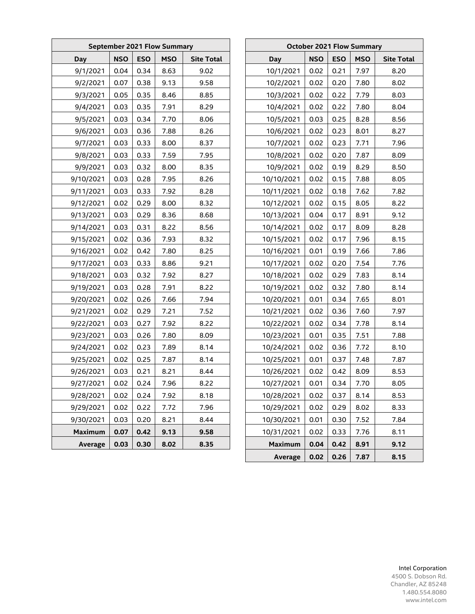| <b>September 2021 Flow Summary</b> |            |            |            |                   |  | <b>October 2021 Flow Summary</b> |            |            |            |                   |  |
|------------------------------------|------------|------------|------------|-------------------|--|----------------------------------|------------|------------|------------|-------------------|--|
| Day                                | <b>NSO</b> | <b>ESO</b> | <b>MSO</b> | <b>Site Total</b> |  | Day                              | <b>NSO</b> | <b>ESO</b> | <b>MSO</b> | <b>Site Total</b> |  |
| 9/1/2021                           | 0.04       | 0.34       | 8.63       | 9.02              |  | 10/1/2021                        | 0.02       | 0.21       | 7.97       | 8.20              |  |
| 9/2/2021                           | 0.07       | 0.38       | 9.13       | 9.58              |  | 10/2/2021                        | 0.02       | 0.20       | 7.80       | 8.02              |  |
| 9/3/2021                           | 0.05       | 0.35       | 8.46       | 8.85              |  | 10/3/2021                        | 0.02       | 0.22       | 7.79       | 8.03              |  |
| 9/4/2021                           | 0.03       | 0.35       | 7.91       | 8.29              |  | 10/4/2021                        | 0.02       | 0.22       | 7.80       | 8.04              |  |
| 9/5/2021                           | 0.03       | 0.34       | 7.70       | 8.06              |  | 10/5/2021                        | 0.03       | 0.25       | 8.28       | 8.56              |  |
| 9/6/2021                           | 0.03       | 0.36       | 7.88       | 8.26              |  | 10/6/2021                        | 0.02       | 0.23       | 8.01       | 8.27              |  |
| 9/7/2021                           | 0.03       | 0.33       | 8.00       | 8.37              |  | 10/7/2021                        | 0.02       | 0.23       | 7.71       | 7.96              |  |
| 9/8/2021                           | 0.03       | 0.33       | 7.59       | 7.95              |  | 10/8/2021                        | 0.02       | 0.20       | 7.87       | 8.09              |  |
| 9/9/2021                           | 0.03       | 0.32       | 8.00       | 8.35              |  | 10/9/2021                        | 0.02       | 0.19       | 8.29       | 8.50              |  |
| 9/10/2021                          | 0.03       | 0.28       | 7.95       | 8.26              |  | 10/10/2021                       | 0.02       | 0.15       | 7.88       | 8.05              |  |
| 9/11/2021                          | 0.03       | 0.33       | 7.92       | 8.28              |  | 10/11/2021                       | 0.02       | 0.18       | 7.62       | 7.82              |  |
| 9/12/2021                          | 0.02       | 0.29       | 8.00       | 8.32              |  | 10/12/2021                       | 0.02       | 0.15       | 8.05       | 8.22              |  |
| 9/13/2021                          | 0.03       | 0.29       | 8.36       | 8.68              |  | 10/13/2021                       | 0.04       | 0.17       | 8.91       | 9.12              |  |
| 9/14/2021                          | 0.03       | 0.31       | 8.22       | 8.56              |  | 10/14/2021                       | 0.02       | 0.17       | 8.09       | 8.28              |  |
| 9/15/2021                          | 0.02       | 0.36       | 7.93       | 8.32              |  | 10/15/2021                       | 0.02       | 0.17       | 7.96       | 8.15              |  |
| 9/16/2021                          | 0.02       | 0.42       | 7.80       | 8.25              |  | 10/16/2021                       | 0.01       | 0.19       | 7.66       | 7.86              |  |
| 9/17/2021                          | 0.03       | 0.33       | 8.86       | 9.21              |  | 10/17/2021                       | 0.02       | 0.20       | 7.54       | 7.76              |  |
| 9/18/2021                          | 0.03       | 0.32       | 7.92       | 8.27              |  | 10/18/2021                       | 0.02       | 0.29       | 7.83       | 8.14              |  |
| 9/19/2021                          | 0.03       | 0.28       | 7.91       | 8.22              |  | 10/19/2021                       | 0.02       | 0.32       | 7.80       | 8.14              |  |
| 9/20/2021                          | 0.02       | 0.26       | 7.66       | 7.94              |  | 10/20/2021                       | 0.01       | 0.34       | 7.65       | 8.01              |  |
| 9/21/2021                          | 0.02       | 0.29       | 7.21       | 7.52              |  | 10/21/2021                       | 0.02       | 0.36       | 7.60       | 7.97              |  |
| 9/22/2021                          | 0.03       | 0.27       | 7.92       | 8.22              |  | 10/22/2021                       | 0.02       | 0.34       | 7.78       | 8.14              |  |
| 9/23/2021                          | 0.03       | 0.26       | 7.80       | 8.09              |  | 10/23/2021                       | 0.01       | 0.35       | 7.51       | 7.88              |  |
| 9/24/2021                          | 0.02       | 0.23       | 7.89       | 8.14              |  | 10/24/2021                       | 0.02       | 0.36       | 7.72       | 8.10              |  |
| 9/25/2021                          | 0.02       | 0.25       | 7.87       | 8.14              |  | 10/25/2021                       | 0.01       | 0.37       | 7.48       | 7.87              |  |
| 9/26/2021                          | 0.03       | 0.21       | 8.21       | 8.44              |  | 10/26/2021                       | 0.02       | 0.42       | 8.09       | 8.53              |  |
| 9/27/2021                          | 0.02       | 0.24       | 7.96       | 8.22              |  | 10/27/2021                       | 0.01       | 0.34       | 7.70       | 8.05              |  |
| 9/28/2021                          | 0.02       | 0.24       | 7.92       | 8.18              |  | 10/28/2021                       | 0.02       | 0.37       | 8.14       | 8.53              |  |
| 9/29/2021                          | 0.02       | 0.22       | 7.72       | 7.96              |  | 10/29/2021                       | 0.02       | 0.29       | 8.02       | 8.33              |  |
| 9/30/2021                          | 0.03       | 0.20       | 8.21       | 8.44              |  | 10/30/2021                       | 0.01       | 0.30       | 7.52       | 7.84              |  |
| <b>Maximum</b>                     | 0.07       | 0.42       | 9.13       | 9.58              |  | 10/31/2021                       | 0.02       | 0.33       | 7.76       | 8.11              |  |
| Average                            | 0.03       | 0.30       | 8.02       | 8.35              |  | <b>Maximum</b>                   | 0.04       | 0.42       | 8.91       | 9.12              |  |
|                                    |            |            |            |                   |  | Average                          | 0.02       | 0.26       | 7.87       | 8.15              |  |